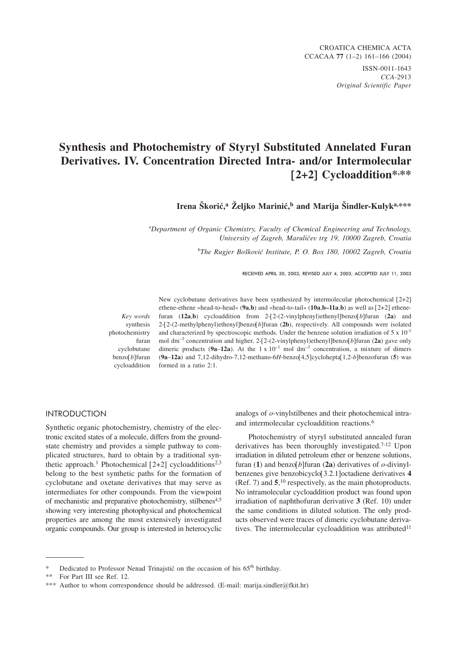# **Synthesis and Photochemistry of Styryl Substituted Annelated Furan Derivatives. IV. Concentration Directed Intra- and/or Intermolecular [2+2] Cycloaddition\*, \*\***

Irena Škorić.<sup>a</sup> Željko Marinić.<sup>b</sup> and Marija Šindler-Kulyk<sup>a,\*\*\*</sup>

a *Department of Organic Chemistry, Faculty of Chemical Engineering and Technology, University of Zagreb, Maruli}ev trg 19, 10000 Zagreb, Croatia*

<sup>b</sup>The Rugjer Bošković Institute, P. O. Box 180, 10002 Zagreb, Croatia

RECEIVED APRIL 30, 2003; REVISED JULY 4, 2003; ACCEPTED JULY 11, 2003

*Key words* synthesis photochemistry furan cyclobutane benzo[*b*]furan cycloaddition

New cyclobutane derivatives have been synthesized by intermolecular photochemical [2+2] ethene-ethene »head-to-head« (**9a**,**b**) and »head-to-tail« (**10a**,**b–11a**,**b**) as well as [2+2] ethenefuran  $(12a,b)$  cycloaddition from  $2-[2-(2-viny]phenyl]benzof b]$ furan  $(2a)$  and 2-[2-(2-methylphenyl)ethenyl]benzo[*b*]furan (**2b**), respectively. All compounds were isolated and characterized by spectroscopic methods. Under the benzene solution irradiation of 5 x 10-1 mol dm–3 concentration and higher, 2-[2-(2-vinylphenyl)ethenyl]benzo[*b*]furan (**2a**) gave only dimeric products ( $9a-12a$ ). At the 1 x  $10^{-1}$  mol dm<sup>-3</sup> concentration, a mixture of dimers (**9a**–**12a**) and 7,12-dihydro-7,12-methano-6*H*-benzo[4,5]cyclohepta[1,2-*b*]benzofuran (**5**) was formed in a ratio 2:1.

## **INTRODUCTION** International Company

Synthetic organic photochemistry, chemistry of the electronic excited states of a molecule, differs from the groundstate chemistry and provides a simple pathway to complicated structures, hard to obtain by a traditional synthetic approach.<sup>1</sup> Photochemical  $[2+2]$  cycloadditions<sup>2,3</sup> belong to the best synthetic paths for the formation of cyclobutane and oxetane derivatives that may serve as intermediates for other compounds. From the viewpoint of mechanistic and preparative photochemistry, stilbenes<sup>4,5</sup> showing very interesting photophysical and photochemical properties are among the most extensively investigated organic compounds. Our group is interested in heterocyclic analogs of *o*-vinylstilbenes and their photochemical intraand intermolecular cycloaddition reactions.6

Photochemistry of styryl substituted annealed furan derivatives has been thoroughly investigated.<sup>7-12</sup> Upon irradiation in diluted petroleum ether or benzene solutions, furan (**1**) and benzo[*b*]furan (**2a**) derivatives of *o*-divinylbenzenes give benzobicyclo[3.2.1]octadiene derivatives **4** (Ref. 7) and **5**, <sup>10</sup> respectively, as the main photoproducts. No intramolecular cycloaddition product was found upon irradiation of naphthofuran derivative **3** (Ref. 10) under the same conditions in diluted solution. The only products observed were traces of dimeric cyclobutane derivatives. The intermolecular cycloaddition was attributed<sup>11</sup>

Dedicated to Professor Nenad Trinajstić on the occasion of his 65<sup>th</sup> birthday.

<sup>\*\*</sup> For Part III see Ref. 12.

<sup>\*\*\*</sup> Author to whom correspondence should be addressed. (E-mail: marija.sindler*@*fkit.hr)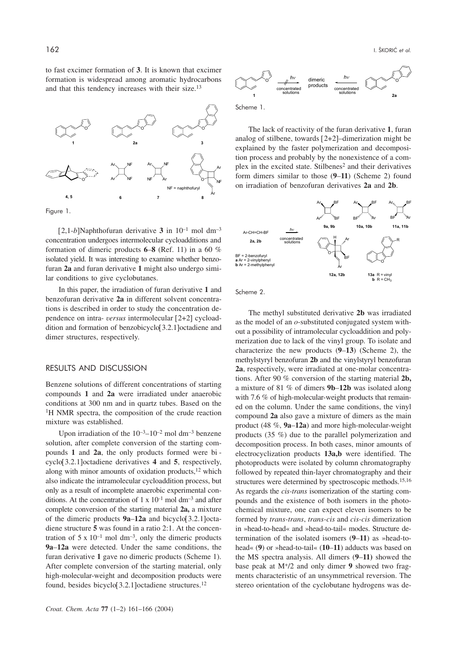to fast excimer formation of **3**. It is known that excimer formation is widespread among aromatic hydrocarbons and that this tendency increases with their size.13



Figure 1.

 $[2,1-b]$ Naphthofuran derivative 3 in  $10^{-1}$  mol dm<sup>-3</sup> concentration undergoes intermolecular cycloadditions and formation of dimeric products **6**–**8** (Ref. 11) in a 60 % isolated yield. It was interesting to examine whether benzofuran **2a** and furan derivative **1** might also undergo similar conditions to give cyclobutanes.

In this paper, the irradiation of furan derivative **1** and benzofuran derivative **2a** in different solvent concentrations is described in order to study the concentration dependence on intra- *versus* intermolecular [2+2] cycloaddition and formation of benzobicyclo[3.2.1]octadiene and dimer structures, respectively.

# RESULTS AND DISCUSSION

Benzene solutions of different concentrations of starting compounds **1** and **2a** were irradiated under anaerobic conditions at 300 nm and in quartz tubes. Based on the <sup>1</sup>H NMR spectra, the composition of the crude reaction mixture was established.

Upon irradiation of the  $10^{-3}$ – $10^{-2}$  mol dm<sup>-3</sup> benzene solution, after complete conversion of the starting compounds **1** and **2a**, the only products formed were bi cyclo[3.2.1]octadiene derivatives **4** and **5**, respectively, along with minor amounts of oxidation products, $12$  which also indicate the intramolecular cycloaddition process, but only as a result of incomplete anaerobic experimental conditions. At the concentration of  $1 \times 10^{-1}$  mol dm<sup>-3</sup> and after complete conversion of the starting material **2a,** a mixture of the dimeric products **9a**–**12a** and bicyclo[3.2.1]octadiene structure **5** was found in a ratio 2:1. At the concentration of  $5 \times 10^{-1}$  mol dm<sup>-3</sup>, only the dimeric products **9a**–**12a** were detected. Under the same conditions, the furan derivative **1** gave no dimeric products (Scheme 1). After complete conversion of the starting material, only high-molecular-weight and decomposition products were found, besides bicyclo[3.2.1]octadiene structures.12



The lack of reactivity of the furan derivative **1**, furan analog of stilbene, towards [2+2]–dimerization might be explained by the faster polymerization and decomposition process and probably by the nonexistence of a complex in the excited state. Stilbenes<sup>2</sup> and their derivatives form dimers similar to those (**9**–**11**) (Scheme 2) found on irradiation of benzofuran derivatives **2a** and **2b**.



Scheme 2.

The methyl substituted derivative **2b** was irradiated as the model of an *o*-substituted conjugated system without a possibility of intramolecular cycloaddition and polymerization due to lack of the vinyl group. To isolate and characterize the new products (**9**–**13**) (Scheme 2), the methylstyryl benzofuran **2b** and the vinylstyryl benzofuran **2a**, respectively, were irradiated at one-molar concentrations. After 90 % conversion of the starting material **2b,** a mixture of 81 % of dimers **9b**–**12b** was isolated along with 7.6 % of high-molecular-weight products that remained on the column. Under the same conditions, the vinyl compound **2a** also gave a mixture of dimers as the main product (48 %, **9a**–**12a**) and more high-molecular-weight products (35 %) due to the parallel polymerization and decomposition process. In both cases, minor amounts of electrocyclization products **13a,b** were identified. The photoproducts were isolated by column chromatography followed by repeated thin-layer chromatography and their structures were determined by spectroscopic methods.<sup>15,16</sup> As regards the *cis-trans* isomerization of the starting compounds and the existence of both isomers in the photochemical mixture, one can expect eleven isomers to be formed by *trans-trans*, *trans-cis* and *cis-cis* dimerization in »head-to-head« and »head-to-tail« modes. Structure determination of the isolated isomers (**9**–**11**) as »head-tohead« (**9**) or »head-to-tail« (**10**–**11**) adducts was based on the MS spectra analysis. All dimers (**9**–**11)** showed the base peak at M+/2 and only dimer **9** showed two fragments characteristic of an unsymmetrical reversion. The stereo orientation of the cyclobutane hydrogens was de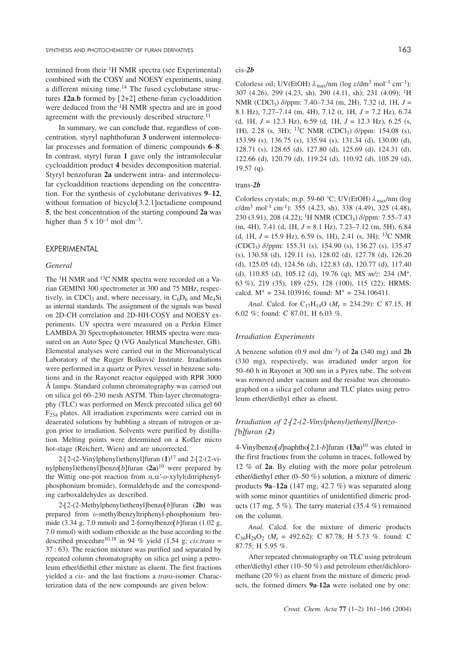termined from their 1H NMR spectra (see Experimental) combined with the COSY and NOESY experiments, using a different mixing time.14 The fused cyclobutane structures **12a**,**b** formed by [2+2] ethene-furan cycloaddition were deduced from the 1H NMR spectra and are in good agreement with the previously described structure.<sup>11</sup>

In summary, we can conclude that, regardless of concentration, styryl naphthofuran **3** underwent intermolecular processes and formation of dimeric compounds **6**–**8**. In contrast, styryl furan **1** gave only the intramolecular cycloaddition product **4** besides decomposition material. Styryl benzofuran **2a** underwent intra- and intermolecular cycloaddition reactions depending on the concentration. For the synthesis of cyclobutane derivatives **9**–**12**, without formation of bicyclo<sup>[3.2.1]</sup>octadiene compound **5**, the best concentration of the starting compound **2a** was higher than  $5 \times 10^{-1}$  mol dm<sup>-3</sup>.

# *General*

The <sup>1</sup>H NMR and <sup>13</sup>C NMR spectra were recorded on a Varian GEMINI 300 spectrometer at 300 and 75 MHz, respectively, in CDCl<sub>3</sub> and, where necessary, in  $C_6D_6$  and Me<sub>4</sub>Si as internal standards. The assignment of the signals was based on 2D-CH correlation and 2D-HH-COSY and NOESY experiments. UV spectra were measured on a Perkin Elmer LAMBDA 20 Spectrophotometer. HRMS spectra were measured on an Auto Spec Q (VG Analytical Manchester, GB). Elemental analyses were carried out in the Microanalytical Laboratory of the Rugjer Bošković Institute. Irradiations were performed in a quartz or Pyrex vessel in benzene solutions and in the Rayonet reactor equipped with RPR 3000 Å lamps. Standard column chromatography was carried out on silica gel 60–230 mesh ASTM. Thin-layer chromatography (TLC) was performed on Merck precoated silica gel 60  $F_{254}$  plates. All irradiation experiments were carried out in deaerated solutions by bubbling a stream of nitrogen or argon prior to irradiation. Solvents were purified by distillation. Melting points were determined on a Kofler micro hot-stage (Reichert, Wien) and are uncorrected.

2-[2-(2-Vinylphenyl)ethenyl]furan (**1**)<sup>17</sup> and 2-[2-(2-vinylphenyl)ethenyl]benzo[*b*]furan (**2a**)<sup>10</sup> were prepared by the Wittig one-pot reaction from  $\alpha$ , $\alpha'$ -*o*-xylyl(ditriphenylphosphonium bromide), formaldehyde and the corresponding carboxaldehydes as described.

2-[2-(2-Methylphenyl)ethenyl]benzo[*b*]furan (**2b**) was prepared from *o*-methylbenzyltriphenyl-phosphonium bromide (3.34 g, 7.0 mmol) and 2-formylbenzo[*b*]furan (1.02 g, 7.0 mmol) with sodium ethoxide as the base according to the described procedure<sup>10,18</sup> in 94 % yield (1.54 g; *cis:trans* = 37 : 63). The reaction mixture was purified and separated by repeated column chromatography on silica gel using a petroleum ether/diethil ether mixture as eluent. The first fractions yielded a *cis*- and the last fractions a *trans*-isomer. Characterization data of the new compounds are given below:

## cis*-2b*

Colorless oil; UV(EtOH)  $\lambda_{\text{max}}$ /nm (log  $\varepsilon$ /dm<sup>3</sup> mol<sup>-1</sup> cm<sup>-1</sup>): 307 (4.26), 299 (4.23, sh), 290 (4.11, sh); 231 (4.09); 1H NMR (CDCl3) *d*/ppm: 7.40–7.34 (m, 2H), 7.32 (d, 1H, *J* = 8.1 Hz), 7.27–7.14 (m, 4H), 7.12 (t, 1H, *J* = 7.2 Hz), 6.74 (d, 1H, *J* = 12.3 Hz), 6.59 (d, 1H, *J* = 12.3 Hz), 6.25 (s, 1H), 2.28 (s, 3H); 13C NMR (CDCl3) *d*/ppm: 154.08 (s), 153.99 (s), 136.75 (s), 135.94 (s), 131.34 (d), 130.00 (d), 128.71 (s), 128.65 (d), 127.80 (d), 125.69 (d), 124.31 (d), 122.66 (d), 120.79 (d), 119.24 (d), 110.92 (d), 105.29 (d), 19.57 (q).

# trans*-2b*

Colorless crystals; m.p. 59-60 °C; UV(EtOH)  $\lambda_{\text{max}}$ /nm (log *e*/dm<sup>3</sup> mol-1 cm-1): 355 (4.23, sh), 338 (4.49), 325 (4.48), 230 (3.91), 208 (4.22); 1H NMR (CDCl3) *d*/ppm: 7.55–7.43 (m, 4H), 7.41 (d, 1H, *J* = 8.1 Hz), 7.23–7.12 (m, 5H), 6.84 (d, 1H, *J* = 15.9 Hz), 6.59 (s, 1H), 2.41 (s, 3H); 13C NMR (CDCl3) *d*/ppm: 155.31 (s), 154.90 (s), 136.27 (s), 135.47 (s), 130.58 (d), 129.11 (s), 128.02 (d), 127.78 (d), 126.20 (d), 125.05 (d), 124.56 (d), 122.83 (d), 120.77 (d), 117.40 (d), 110.85 (d), 105.12 (d), 19.76 (q); MS *m/z*: 234 (M+, 63 %), 219 (35), 189 (25), 128 (100), 115 (22); HRMS: calcd.  $M^+ = 234.103916$ ; found:  $M^+ = 234.106411$ .

*Anal*. Calcd. for C<sub>17</sub>H<sub>14</sub>O ( $M_r = 234.29$ ): C 87.15, H 6.02 %; found: C 87.01, H 6.03 %.

## *Irradiation Experiments*

A benzene solution  $(0.9 \text{ mol dm}^{-3})$  of **2a**  $(340 \text{ mg})$  and **2b** (330 mg), respectively, was irradiated under argon for 50–60 h in Rayonet at 300 nm in a Pyrex tube. The solvent was removed under vacuum and the residue was chromatographed on a silica gel column and TLC plates using petroleum ether/diethyl ether as eluent.

# *Irradiation of 2-[2-(2-Vinylphenyl)ethenyl]benzo- [*b*]furan (2)*

4-Vinylbenzo[*d*]naphtho[2,1-*b*]furan (**13a**)10 was eluted in the first fractions from the column in traces, followed by 12 % of **2a**. By eluting with the more polar petroleum ether/diethyl ether (0–50 %) solution, a mixture of dimeric products **9a**–**12a** (147 mg, 42.7 %) was separated along with some minor quantities of unidentified dimeric products (17 mg, 5 %). The tarry material (35.4 %) remained on the column.

*Anal.* Calcd. for the mixture of dimeric products  $C_{36}H_{28}O_2$  ( $M_r = 492.62$ ): C 87.78; H 5.73 %. found: C 87.75; H 5.95 %.

After repeated chromatography on TLC using petroleum ether/diethyl ether (10–50 %) and petroleum ether/dichloromethane (20 %) as eluent from the mixture of dimeric products, the formed dimers **9a**-**12a** were isolated one by one: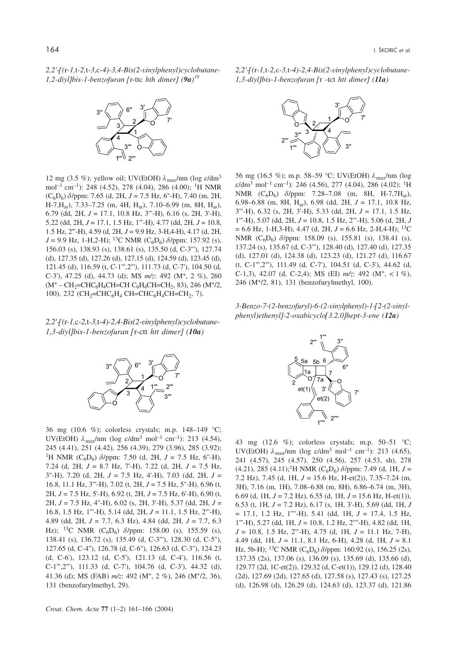*2,2'-[(*r*-1,*t*-2,*t*-3,*c*-4)-3,4-Bis(2-vinylphenyl)cyclobutane-1,2-diyl]bis-1-benzofuran [*r-ttc *hth dimer] (9a) 19*



12 mg (3.5 %); yellow oil; UV(EtOH)  $\lambda_{\text{max}}/\text{nm}$  (log  $\varepsilon/\text{dm}^3$ mol<sup>-1</sup> cm<sup>-1</sup>): 248 (4.52), 278 (4.04), 286 (4.00); <sup>1</sup>H NMR  $(C_6D_6)$   $\delta$ /ppm: 7.65 (d, 2H,  $J = 7.5$  Hz, 6"-H), 7.40 (m, 2H, H-7,Har), 7.33–7.25 (m, 4H, Har), 7.10–6.99 (m, 8H, Har), 6.79 (dd, 2H, *J* = 17.1, 10.8 Hz, 3'''-H), 6.16 (s, 2H, 3'-H), 5.22 (dd, 2H, *J* = 17.1, 1.5 Hz, 1'''-H), 4.77 (dd, 2H, *J* = 10.8, 1.5 Hz, 2'''-H), 4.59 (d, 2H, *J* = 9.9 Hz, 3-H,4-H), 4.17 (d, 2H,  $J = 9.9$  Hz, 1-H, 2-H); <sup>13</sup>C NMR (C<sub>6</sub>D<sub>6</sub>)  $\delta$ /ppm: 157.92 (s), 156.03 (s), 138.93 (s), 138.61 (s), 135.50 (d, C-3'''), 127.74 (d), 127.35 (d), 127.26 (d), 127.15 (d), 124.59 (d), 123.45 (d), 121.45 (d), 116.59 (t, C-1''',2'''), 111.73 (d, C-7'), 104.50 (d, C-3'), 47.25 (d), 44.73 (d); MS *m/z*: 492 (M+, 2 %), 260  $(M^+ - CH_2=CHC_6H_4CH=CH C_6H_4CH=CH_2, 83)$ , 246  $(M^+/2)$ , 100), 232 (CH<sub>2</sub>=CHC<sub>6</sub>H<sub>4</sub> CH=CHC<sub>6</sub>H<sub>4</sub>CH=CH<sub>2</sub>, 7).

*2,2'-[(*r*-1,*c*-2,*t*-3,*t*-4)-2,4-Bis(2-vinylphenyl)cyclobutane-1,3-diyl]bis-1-benzofuran [*r-ctt *htt dimer] (10a)*



36 mg (10.6 %); colorless crystals; m.p. 148–149 °C; UV(EtOH)  $\lambda_{\text{max}}/\text{nm}$  (log  $\varepsilon/\text{dm}^3$  mol<sup>-1</sup> cm<sup>-1</sup>): 213 (4.54), 245 (4.41), 251 (4.42), 256 (4.39), 279 (3.96), 285 (3.92); <sup>1</sup>H NMR (C<sub>6</sub>D<sub>6</sub>)  $\delta$ /ppm: 7.50 (d, 2H, J = 7.5 Hz, 6"-H), 7.24 (d, 2H, *J* = 8.7 Hz, 7'-H), 7.22 (d, 2H, *J* = 7.5 Hz, 3''-H), 7.20 (d, 2H, *J* = 7.5 Hz, 4'-H), 7.03 (dd, 2H, *J* = 16.8, 11.1 Hz, 3'''-H), 7.02 (t, 2H, *J* = 7.5 Hz, 5''-H), 6.96 (t, 2H, *J* = 7.5 Hz, 5'-H), 6.92 (t, 2H, *J* = 7.5 Hz, 6'-H), 6.90 (t, 2H, *J* = 7.5 Hz, 4''-H), 6.02 (s, 2H, 3'-H), 5.37 (dd, 2H, *J* = 16.8, 1.5 Hz, 1'''-H), 5.14 (dd, 2H, *J* = 11.1, 1.5 Hz, 2'''-H), 4.89 (dd, 2H, *J* = 7.7, 6.3 Hz), 4.84 (dd, 2H, *J* = 7.7, 6.3 Hz); <sup>13</sup>C NMR (C<sub>6</sub>D<sub>6</sub>)  $\delta$ /ppm: 158.00 (s), 155.59 (s), 138.41 (s), 136.72 (s), 135.49 (d, C-3'''), 128.30 (d, C-5''), 127.65 (d, C-4''), 126.78 (d, C-6''), 126.63 (d, C-3''), 124.23 (d, C-6'), 123.12 (d, C-5'), 121.13 (d, C-4'), 116.56 (t, C-1''',2'''), 111.33 (d, C-7'), 104.76 (d, C-3'), 44.32 (d), 41.36 (d); MS (FAB) *m/z*: 492 (M+, 2 %), 246 (M+/2, 36), 131 (benzofurylmethyl, 29).

*2,2'-[(*r*-1,*t*-2,*c*-3,*t*-4)-2,4-Bis(2-vinylphenyl)cyclobutane-1,3-diyl]bis-1-benzofuran [*r -tct *htt dimer] (11a)*



56 mg (16.5 %); m.p. 58–59 °C; UV(EtOH)  $\lambda_{\text{max}}$ /nm (log  $\varepsilon$ /dm<sup>3</sup> mol<sup>-1</sup> cm<sup>-1</sup>): 246 (4.56), 277 (4.04), 286 (4.02); <sup>1</sup>H NMR (C<sub>6</sub>D<sub>6</sub>)  $\delta$ /ppm: 7.28–7.08 (m, 8H, H-7,7H<sub>ar</sub>), 6.98–6.88 (m, 8H, Har), 6.98 (dd, 2H, *J* = 17.1, 10.8 Hz, 3'''-H), 6.32 (s, 2H, 3'-H), 5.33 (dd, 2H, *J* = 17.1, 1.5 Hz, 1'''-H), 5.07 (dd, 2H, *J* = 10.8, 1.5 Hz, 2'''-H), 5.06 (d, 2H, *J*  $= 6.6$  Hz, 1-H, 3-H), 4.47 (d, 2H,  $J = 6.6$  Hz, 2-H, 4-H); <sup>13</sup>C NMR (C<sub>6</sub>D<sub>6</sub>)  $\delta$ /ppm: 158.09 (s), 155.81 (s), 138.41 (s), 137.24 (s), 135.67 (d, C-3'''), 128.40 (d), 127.40 (d), 127.35 (d), 127.01 (d), 124.38 (d), 123.23 (d), 121.27 (d), 116.67 (t, C-1''',2'''), 111.49 (d, C-7'), 104.51 (d, C-3'), 44.62 (d, C-1,3), 42.07 (d, C-2,4); MS (EI) *m/z*: 492 (M+, < 1 %), 246 (M+/2, 81), 131 (benzofurylmethyl, 100).

*3-Benzo-7-(2-benzofuryl)-6-(2-vinylphenyl)-1-[2-(2-vinylphenyl)ethenyl]-2-oxabicyclo[3.2.0]hept-3-ene (12a)*



43 mg (12.6 %); colorless crystals; m.p. 50–51 °C; UV(EtOH)  $\lambda_{\text{max}}$ /nm (log  $\varepsilon$ /dm<sup>3</sup> mol<sup>-1</sup> cm<sup>-1</sup>): 213 (4.65), 241 (4.57), 245 (4.57), 250 (4.56), 257 (4.53, sh), 278  $(4.21)$ , 285  $(4.11)$ ;<sup>1</sup>H NMR  $(C_6D_6)$   $\delta$ /ppm: 7.49 (d, 1H, J = 7.2 Hz), 7.45 (d, 1H, *J* = 15.6 Hz, H-et(2)), 7.35–7.24 (m, 3H), 7.16 (m, 1H), 7.08–6.88 (m, 8H), 6.86–6.74 (m, 3H), 6.69 (d, 1H, *J* = 7.2 Hz), 6.55 (d, 1H, *J* = 15.6 Hz, H-et(1)), 6.53 (t, 1H, *J* = 7.2 Hz), 6.17 (s, 1H, 3'-H), 5.69 (dd, 1H, *J* = 17.1, 1.2 Hz, 1''''-H), 5.41 (dd, 1H, *J* = 17.4, 1.5 Hz, 1'''-H), 5.27 (dd, 1H, *J* = 10.8, 1.2 Hz, 2''''-H), 4.82 (dd, 1H, *J* = 10.8, 1.5 Hz, 2'''-H), 4.75 (d, 1H, *J* = 11.1 Hz, 7-H), 4.49 (dd, 1H, *J* = 11.1, 8.1 Hz, 6-H), 4.28 (d, 1H, *J* = 8.1 Hz, 5b-H); <sup>13</sup>C NMR (C<sub>6</sub>D<sub>6</sub>)  $\delta$ /ppm: 160.92 (s), 156.25 (2s), 137.35 (2s), 137.06 (s), 136.09 (s), 135.69 (d), 135.66 (d), 129.77 (2d, 1C-et(2)), 129.32 (d, C-et(1)), 129.12 (d), 128.40 (2d), 127.69 (2d), 127.65 (d), 127.58 (s), 127.43 (s), 127.25 (d), 126.98 (d), 126.29 (d), 124.63 (d), 123.37 (d), 121.86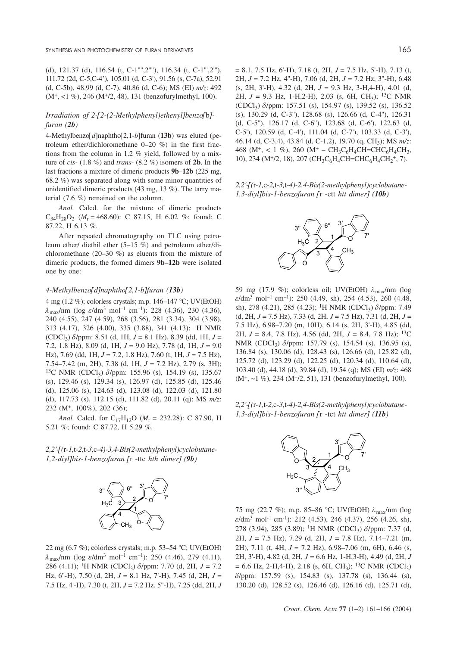(d), 121.37 (d), 116.54 (t, C-1"",2""), 116.34 (t, C-1"',2"'), 111.72 (2d, C-5,C-4'), 105.01 (d, C-3'), 91.56 (s, C-7a), 52.91 (d, C-5b), 48.99 (d, C-7), 40.86 (d, C-6); MS (EI) *m/z*: 492 (M+, <1 %), 246 (M+/2, 48), 131 (benzofurylmethyl, 100).

# *Irradiation of 2-[2-(2-Methylphenyl)ethenyl]benzo[*b*] furan (2b)*

4-Methylbenzo[*d*]naphtho[2,1-*b*]furan (**13b**) was eluted (petroleum ether/dichloromethane 0–20 %) in the first fractions from the column in 1.2 % yield, followed by a mixture of *cis*- (1.8 %) and *trans*- (8.2 %) isomers of **2b**. In the last fractions a mixture of dimeric products **9b**–**12b** (225 mg, 68.2 %) was separated along with some minor quantities of unidentified dimeric products (43 mg, 13 %). The tarry material (7.6 %) remained on the column.

*Anal.* Calcd. for the mixture of dimeric products  $C_{34}H_{28}O_2$  ( $M_r = 468.60$ ): C 87.15, H 6.02 %; found: C 87.22, H 6.13 %.

After repeated chromatography on TLC using petroleum ether/ diethil ether (5–15 %) and petroleum ether/dichloromethane (20–30 %) as eluents from the mixture of dimeric products, the formed dimers **9b**–**12b** were isolated one by one:

## *4-Methylbenzo[d]naphtho[2,1-b]furan (13b)*

4 mg (1.2 %); colorless crystals; m.p. 146–147 °C; UV(EtOH)  $\lambda_{\text{max}}/\text{nm}$  (log  $\varepsilon/\text{dm}^3$  mol<sup>-1</sup> cm<sup>-1</sup>): 228 (4.36), 230 (4.36), 240 (4.55), 247 (4.59), 268 (3.56), 281 (3.34), 304 (3.98), 313 (4.17), 326 (4.00), 335 (3.88), 341 (4.13); 1H NMR (CDCl3) *d*/ppm: 8.51 (d, 1H, *J* = 8.1 Hz), 8.39 (dd, 1H, *J* = 7.2, 1.8 Hz), 8.09 (d, 1H, *J* = 9.0 Hz), 7.78 (d, 1H, *J* = 9.0 Hz), 7.69 (dd, 1H, *J* = 7.2, 1.8 Hz), 7.60 (t, 1H, *J* = 7.5 Hz), 7.54–7.42 (m, 2H), 7.38 (d, 1H, *J* = 7.2 Hz), 2.79 (s, 3H); <sup>13</sup>C NMR (CDCl<sub>3</sub>)  $\delta$ /ppm: 155.96 (s), 154.19 (s), 135.67 (s), 129.46 (s), 129.34 (s), 126.97 (d), 125.85 (d), 125.46 (d), 125.06 (s), 124.63 (d), 123.08 (d), 122.03 (d), 121.80 (d), 117.73 (s), 112.15 (d), 111.82 (d), 20.11 (q); MS *m/z*: 232 (M+, 100%), 202 (36);

*Anal.* Calcd. for C<sub>17</sub>H<sub>12</sub>O ( $M_r = 232.28$ ): C 87.90, H 5.21 %; found: C 87.72, H 5.29 %.

*2,2'-[(*r*-1,*t*-2,*t*-3,*c*-4)-3,4-Bis(2-methylphenyl)cyclobutane-1,2-diyl]bis-1-benzofuran [*r -ttc *hth dimer] (9b)*



22 mg (6.7 %); colorless crystals; m.p. 53–54 °C; UV(EtOH)  $\lambda_{\text{max}}/\text{nm}$  (log  $\varepsilon/\text{dm}^3$  mol<sup>-1</sup> cm<sup>-1</sup>): 250 (4.46), 279 (4.11), 286 (4.11); <sup>1</sup>H NMR (CDCl<sub>3</sub>)  $\delta$ /ppm: 7.70 (d, 2H, J = 7.2) Hz, 6''-H), 7.50 (d, 2H, *J* = 8.1 Hz, 7'-H), 7.45 (d, 2H, *J* = 7.5 Hz, 4'-H), 7.30 (t, 2H, *J* = 7.2 Hz, 5''-H), 7.25 (dd, 2H, *J*

= 8.1, 7.5 Hz, 6'-H), 7.18 (t, 2H, *J* = 7.5 Hz, 5'-H), 7.13 (t, 2H, *J* = 7.2 Hz, 4''-H), 7.06 (d, 2H, *J* = 7.2 Hz, 3''-H), 6.48 (s, 2H, 3'-H), 4.32 (d, 2H, *J* = 9.3 Hz, 3-H,4-H), 4.01 (d, 2H,  $J = 9.3$  Hz, 1-H, 2-H), 2.03 (s, 6H, CH<sub>3</sub>); <sup>13</sup>C NMR (CDCl3) *d*/ppm: 157.51 (s), 154.97 (s), 139.52 (s), 136.52 (s), 130.29 (d, C-3''), 128.68 (s), 126.66 (d, C-4''), 126.31 (d, C-5''), 126.17 (d, C-6''), 123.68 (d, C-6'), 122.63 (d, C-5'), 120.59 (d, C-4'), 111.04 (d, C-7'), 103.33 (d, C-3'), 46.14 (d, C-3,4), 43.84 (d, C-1,2), 19.70 (q, CH3); MS *m/z*: 468 (M<sup>+</sup>, < 1 %), 260 (M<sup>+</sup> – CH<sub>3</sub>C<sub>6</sub>H<sub>4</sub>CH=CHC<sub>6</sub>H<sub>4</sub>CH<sub>3</sub>, 10), 234 (M<sup>+</sup>/2, 18), 207 (CH<sub>3</sub>C<sub>6</sub>H<sub>4</sub>CH=CHC<sub>6</sub>H<sub>4</sub>CH<sub>2</sub><sup>+</sup>, 7).

*2,2'-[(*r*-1,*c*-2,*t*-3,*t*-4)-2,4-Bis(2-methylphenyl)cyclobutane-1,3-diyl]bis-1-benzofuran [*r -ctt *htt dimer] (10b)*



59 mg (17.9 %); colorless oil; UV(EtOH)  $\lambda_{\text{max}}/nm$  (log  $\varepsilon$ /dm<sup>3</sup> mol<sup>-1</sup> cm<sup>-1</sup>): 250 (4.49, sh), 254 (4.53), 260 (4.48, sh), 278 (4.21), 285 (4.23); <sup>1</sup>H NMR (CDCl<sub>3</sub>)  $\delta$ /ppm: 7.49 (d, 2H, *J* = 7.5 Hz), 7.33 (d, 2H, *J* = 7.5 Hz), 7.31 (d, 2H, *J* = 7.5 Hz), 6.98–7.20 (m, 10H), 6.14 (s, 2H, 3'-H), 4.85 (dd, 2H, *J* = 8.4, 7.8 Hz), 4.56 (dd, 2H, *J* = 8.4, 7.8 Hz); 13C NMR (CDCl<sub>3</sub>) *δ/ppm*: 157.79 (s), 154.54 (s), 136.95 (s), 136.84 (s), 130.06 (d), 128.43 (s), 126.66 (d), 125.82 (d), 125.72 (d), 123.29 (d), 122.25 (d), 120.34 (d), 110.64 (d), 103.40 (d), 44.18 (d), 39.84 (d), 19.54 (q); MS (EI) *m/z*: 468 (M<sup>+</sup>, ~1 %), 234 (M<sup>+</sup>/2, 51), 131 (benzofurylmethyl, 100).

*2,2'-[(*r*-1,*t*-2,*c*-3,*t*-4)-2,4-Bis(2-methylphenyl)cyclobutane-1,3-diyl]bis-1-benzofuran [*r -tct *htt dimer] (11b)*



75 mg (22.7 %); m.p. 85–86 °C; UV(EtOH)  $\lambda_{\text{max}}/$ nm (log  $\varepsilon$ /dm<sup>3</sup> mol<sup>-1</sup> cm<sup>-1</sup>): 212 (4.53), 246 (4.37), 256 (4.26, sh), 278 (3.94), 285 (3.89); 1H NMR (CDCl3) *d*/ppm: 7.37 (d, 2H, *J* = 7.5 Hz), 7.29 (d, 2H, *J* = 7.8 Hz), 7.14–7.21 (m, 2H), 7.11 (t, 4H, *J* = 7.2 Hz), 6.98–7.06 (m, 6H), 6.46 (s, 2H, 3'-H), 4.82 (d, 2H, *J* = 6.6 Hz, 1-H,3-H), 4.49 (d, 2H, *J*  $= 6.6$  Hz, 2-H,4-H), 2.18 (s, 6H, CH<sub>3</sub>); <sup>13</sup>C NMR (CDCl<sub>3</sub>) *d*/ppm: 157.59 (s), 154.83 (s), 137.78 (s), 136.44 (s), 130.20 (d), 128.52 (s), 126.46 (d), 126.16 (d), 125.71 (d),